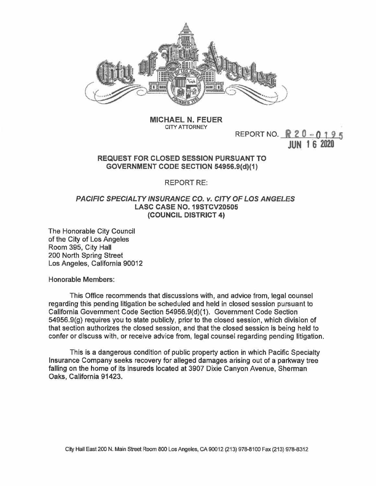

**MICHAEL N. FEUER CITY ATTORNEY**

REPORT NO.  $R 20 - 0195$ JUN <sup>1</sup> 6 2020

## **REQUEST FOR CLOSED SESSION PURSUANT TO GOVERNMENT CODE SECTION 54956.9(d)(1)**

REPORT RE:

## *PACIFIC SPECIALTY INSURANCE CO. v. CITY OF LOS ANGELES* **LASC CASE NO. 19STCV20505 (COUNCIL DISTRICT 4)**

The Honorable City Council of the City of Los Angeles Room 395, City Hall 200 North Spring Street Los Angeles, California 90012

Honorable Members:

This Office recommends that discussions with, and advice from, legal counsel regarding this pending litigation be scheduled and held in closed session pursuant to California Government Code Section 54956.9(d)(1). Government Code Section 54956.9(g) requires you to state publicly, prior to the closed session, which division of that section authorizes the closed session, and that the closed session is being held to confer or discuss with, or receive advice from, legal counsel regarding pending litigation.

This is a dangerous condition of public property action in which Pacific Specialty Insurance Company seeks recovery for alleged damages arising out of a parkway tree falling on the home of its insureds located at 3907 Dixie Canyon Avenue, Sherman Oaks, California 91423.